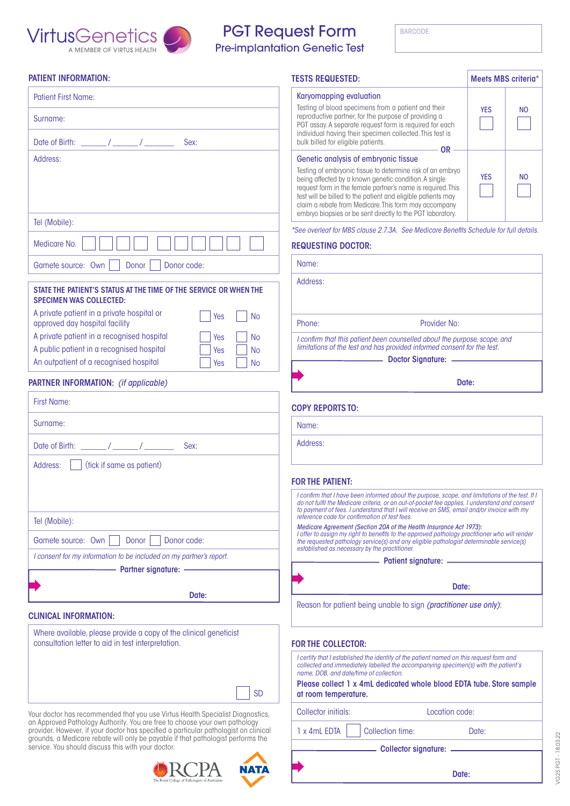

# **GENETIC TESTING REQUEST** Medicare Card Number BARCODE **The PGT Request Form BARCODE**

**Pre-implantation Genetic Test** 

|  | PATIENT INFORMATION: |  |
|--|----------------------|--|
|  |                      |  |

| <b>Patient First Name:</b>                                                                                                      | Karyomapping evaluation                                                                                                                                                                           |                         |  |  |
|---------------------------------------------------------------------------------------------------------------------------------|---------------------------------------------------------------------------------------------------------------------------------------------------------------------------------------------------|-------------------------|--|--|
| Surname:                                                                                                                        | Testing of blood specimens from a patient and their<br>reproductive partner, for the purpose of providing a                                                                                       | <b>YES</b><br><b>NO</b> |  |  |
|                                                                                                                                 | PGT assay. A separate request form is required for each<br>individual having their specimen collected. This test is                                                                               |                         |  |  |
| Date of Birth: $\frac{1}{2}$ / $\frac{1}{2}$ / $\frac{1}{2}$<br>Sex:                                                            | bulk billed for eligible patients.<br><b>OR</b>                                                                                                                                                   |                         |  |  |
| Address:                                                                                                                        | Genetic analysis of embryonic tissue<br>Testing of embryonic tissue to determine risk of an embryo                                                                                                |                         |  |  |
|                                                                                                                                 | being affected by a known genetic condition. A single                                                                                                                                             | <b>YES</b><br><b>NO</b> |  |  |
|                                                                                                                                 | request form in the female partner's name is required. This<br>test will be billed to the patient and eligible patients may                                                                       |                         |  |  |
|                                                                                                                                 | claim a rebate from Medicare. This form may accompany<br>embryo biopsies or be sent directly to the PGT laboratory.                                                                               |                         |  |  |
| Tel (Mobile):                                                                                                                   | *See overleaf for MBS clause 2.7.3A. See Medicare Benefits Schedule for full details.                                                                                                             |                         |  |  |
| Medicare No.                                                                                                                    | <b>REQUESTING DOCTOR:</b>                                                                                                                                                                         |                         |  |  |
| Gamete source: Own<br>Donor<br>Donor code:                                                                                      | Name:                                                                                                                                                                                             |                         |  |  |
|                                                                                                                                 | Address:                                                                                                                                                                                          |                         |  |  |
| STATE THE PATIENT'S STATUS AT THE TIME OF THE SERVICE OR WHEN THE<br><b>SPECIMEN WAS COLLECTED:</b>                             |                                                                                                                                                                                                   |                         |  |  |
| A private patient in a private hospital or<br>Yes<br><b>No</b>                                                                  |                                                                                                                                                                                                   |                         |  |  |
| approved day hospital facility                                                                                                  | Provider No:<br>Phone:                                                                                                                                                                            |                         |  |  |
| A private patient in a recognised hospital<br>Yes<br><b>No</b><br>A public patient in a recognised hospital<br>Yes<br><b>No</b> | I confirm that this patient been counselled about the purpose, scope, and<br>limitations of the test and has provided informed consent for the test.                                              |                         |  |  |
| An outpatient of a recognised hospital<br>Yes<br><b>No</b>                                                                      | Doctor Signature: __________                                                                                                                                                                      |                         |  |  |
|                                                                                                                                 |                                                                                                                                                                                                   |                         |  |  |
| <b>PARTNER INFORMATION:</b> (if applicable)                                                                                     | Date:                                                                                                                                                                                             |                         |  |  |
| <b>First Name:</b>                                                                                                              | <b>COPY REPORTS TO:</b>                                                                                                                                                                           |                         |  |  |
| Surname:                                                                                                                        | Name:                                                                                                                                                                                             |                         |  |  |
| Sex:                                                                                                                            | Address:                                                                                                                                                                                          |                         |  |  |
| (tick if same as patient)<br>Address:                                                                                           |                                                                                                                                                                                                   |                         |  |  |
|                                                                                                                                 | <b>FOR THE PATIENT:</b>                                                                                                                                                                           |                         |  |  |
|                                                                                                                                 | I confirm that I have been informed about the purpose, scope, and limitations of the test. If I<br>do not fulfil the Medicare criteria, or an out-of-pocket fee applies, I understand and consent |                         |  |  |
| Tel (Mobile):                                                                                                                   | to payment of fees. I understand that I will receive an SMS, email and/or invoice with my<br>reference code for confirmation of test fees.                                                        |                         |  |  |
|                                                                                                                                 | Medicare Agreement (Section 20A of the Health Insurance Act 1973):<br>I offer to assign my right to benefits to the approved pathology practitioner who will render                               |                         |  |  |
| Gamete source: Own<br>Donor<br>Donor code:                                                                                      | the requested pathology service(s) and any eligible pathologist determinable service(s)<br>established as necessary by the practitioner.                                                          |                         |  |  |
| I consent for my information to be included on my partner's report.                                                             |                                                                                                                                                                                                   |                         |  |  |
| <b>Partner signature: -</b>                                                                                                     |                                                                                                                                                                                                   |                         |  |  |
| Date:                                                                                                                           |                                                                                                                                                                                                   | Date:                   |  |  |
| <b>CLINICAL INFORMATION:</b>                                                                                                    | Reason for patient being unable to sign (practitioner use only):                                                                                                                                  |                         |  |  |
|                                                                                                                                 |                                                                                                                                                                                                   |                         |  |  |
| Where available, please provide a copy of the clinical geneticist<br>consultation letter to aid in test interpretation.         | <b>FOR THE COLLECTOR:</b>                                                                                                                                                                         |                         |  |  |

provide: However, if you doctor has specified a particular participation fermical to the set of the set of the<br>grounds, a Medicare rebate will only be payable if that pathologist performs the Your doctor has recommended that you use Virtus Health Specialist Diagnostics, an Approved Pathology Authority. You are free to choose your own pathology provider. However, if your doctor has specified a particular pathologist on clinical service. You should discuss this with your doctor.

referring doctor and advise accordingly as per the reason(s) specified here:





SD

 $\overline{\phantom{a}}$ TESTS REQUESTED: Meets MBS criteria\* Karyomapping evaluation Testing of blood specimens from a patient and their reproductive partner, for the purpose of providing a PGT assay. A separate request form is required for each individual having their specimen collected. This test is bulk billed for eligible patients. YES | NO Genetic analysis of embryonic tissue Testing of embryonic tissue to determine risk of an embryo being affected by a known genetic condition. A single request form in the female partner's name is required. This test will be billed to the patient and eligible patients may claim a rebate from Medicare. This form may accompany YES | NO OR

#### REQUESTING DOCTOR:

|                                                                                                                                                      | <b>Doctor Signature:</b> |  |  |  |
|------------------------------------------------------------------------------------------------------------------------------------------------------|--------------------------|--|--|--|
| I confirm that this patient been counselled about the purpose, scope, and<br>limitations of the test and has provided informed consent for the test. |                          |  |  |  |
| Phone:                                                                                                                                               | Provider No:             |  |  |  |
| Address:                                                                                                                                             |                          |  |  |  |
|                                                                                                                                                      |                          |  |  |  |
| Name:                                                                                                                                                |                          |  |  |  |

#### COPY REPORTS TO:

#### FOR THE COLLECTOR:

Æ

I certify that I established the identity of the patient named on this request form and Following discussion as to the contact of tests requested to *option in* understand that laboratory state  $\frac{1}{\sqrt{2}}$  understand that laboratory state  $\frac{1}{\sqrt{2}}$  understand that laboratory state  $\frac{1}{\sqrt{2}}$  understand *collected and immediately labelled the accompanying specimen(s) with the patient's name, DOB, and date/time of collection.*

Please collect 1 x 4mL dedicated whole blood EDTA tube. Store sample at room temperature.

| Your doctor has recommended that you use Virtus Health Specialist Diagnostics,<br>an Approval Dathology Authority Vou are free to oboase your own pathology | <b>Collector initials:</b> | Location code: |  |
|-------------------------------------------------------------------------------------------------------------------------------------------------------------|----------------------------|----------------|--|
|                                                                                                                                                             |                            |                |  |

1 x 4mL EDTA Collection time: Date:

Collector signature:

**Date:** Date:

I certify that I have collected the I have collected the I have collected the I have collected the I have coll accompanying sample from the above patient whose identity was confirmed by direct inquiry and the specimen was labelled in the patient's presence.

> /G25 PGT-18.03.22 VG25 PGT - 18.03.22